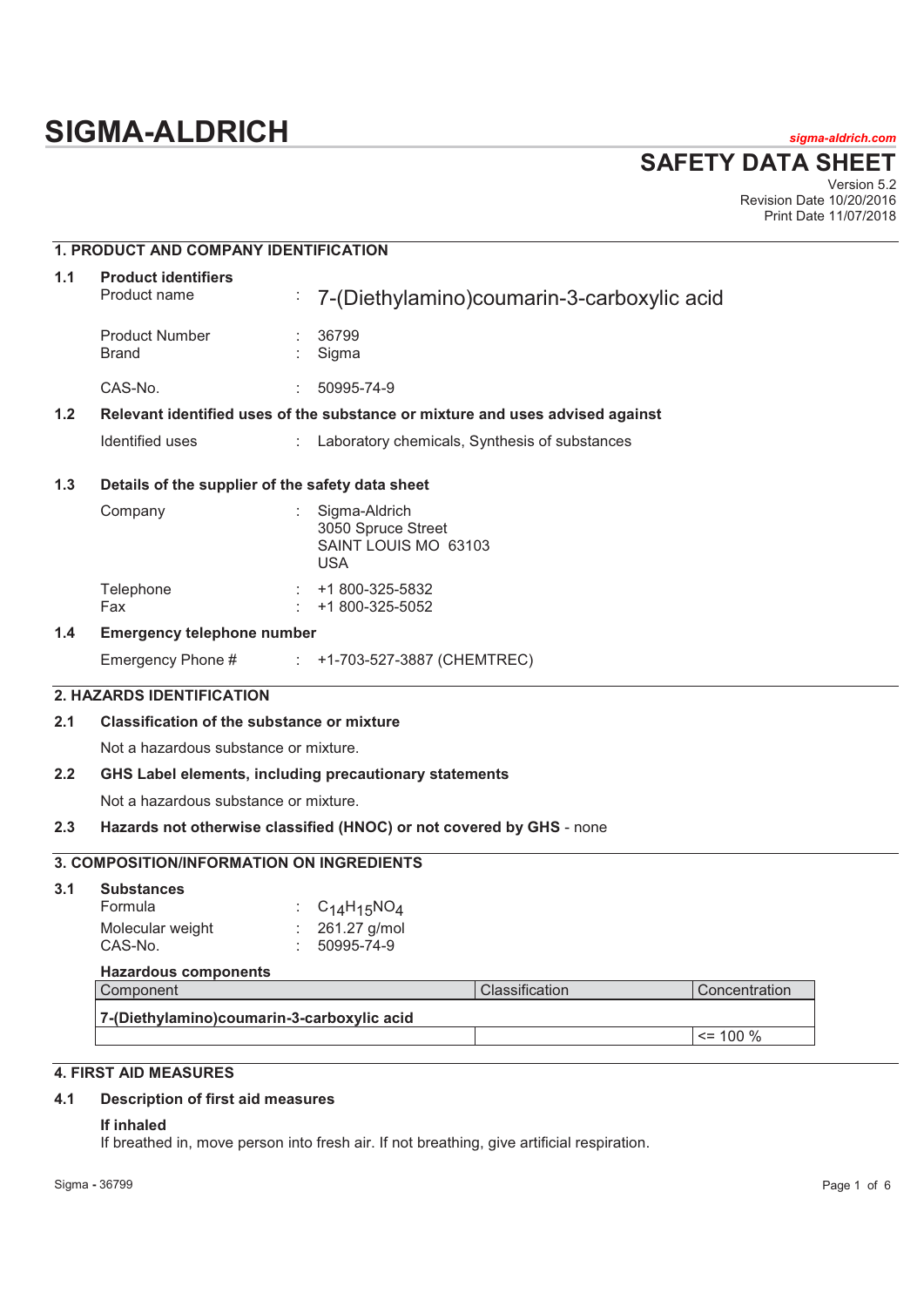# **SIGMA-ALDRICH** *sigma-aldrich.com*

**SAFETY DATA SHEET**

Version 5.2 Revision Date 10/20/2016 Print Date 11/07/2018

# **1. PRODUCT AND COMPANY IDENTIFICATION 1.1 Product identifiers**  Product name : 7-(Diethylamino)coumarin-3-carboxylic acid Product Number : 36799<br>Brand : Sigma Sigma CAS-No. : 50995-74-9 **1.2 Relevant identified uses of the substance or mixture and uses advised against**  Identified uses : Laboratory chemicals, Synthesis of substances **1.3 Details of the supplier of the safety data sheet**  Company : Sigma-Aldrich 3050 Spruce Street SAINT LOUIS MO 63103 USA Telephone : +1 800-325-5832 Fax : +1 800-325-5052 **1.4 Emergency telephone number**  Emergency Phone # : +1-703-527-3887 (CHEMTREC) **2. HAZARDS IDENTIFICATION 2.1 Classification of the substance or mixture**  Not a hazardous substance or mixture. **2.2 GHS Label elements, including precautionary statements**  Not a hazardous substance or mixture. **2.3 Hazards not otherwise classified (HNOC) or not covered by GHS** - none **3. COMPOSITION/INFORMATION ON INGREDIENTS 3.1 Substances**  Formula  $C_{14}H_{15}NO_4$ <br>Molecular weight  $C_{14}H_{15}NO_4$ Molecular weight :<br>CAS-No. CAS-No. : 50995-74-9 **Hazardous components**  Component Classification Concentration **7-(Diethylamino)coumarin-3-carboxylic acid**

# **4. FIRST AID MEASURES**

# **4.1 Description of first aid measures**

#### **If inhaled**

If breathed in, move person into fresh air. If not breathing, give artificial respiration.

 $\leq$  100 %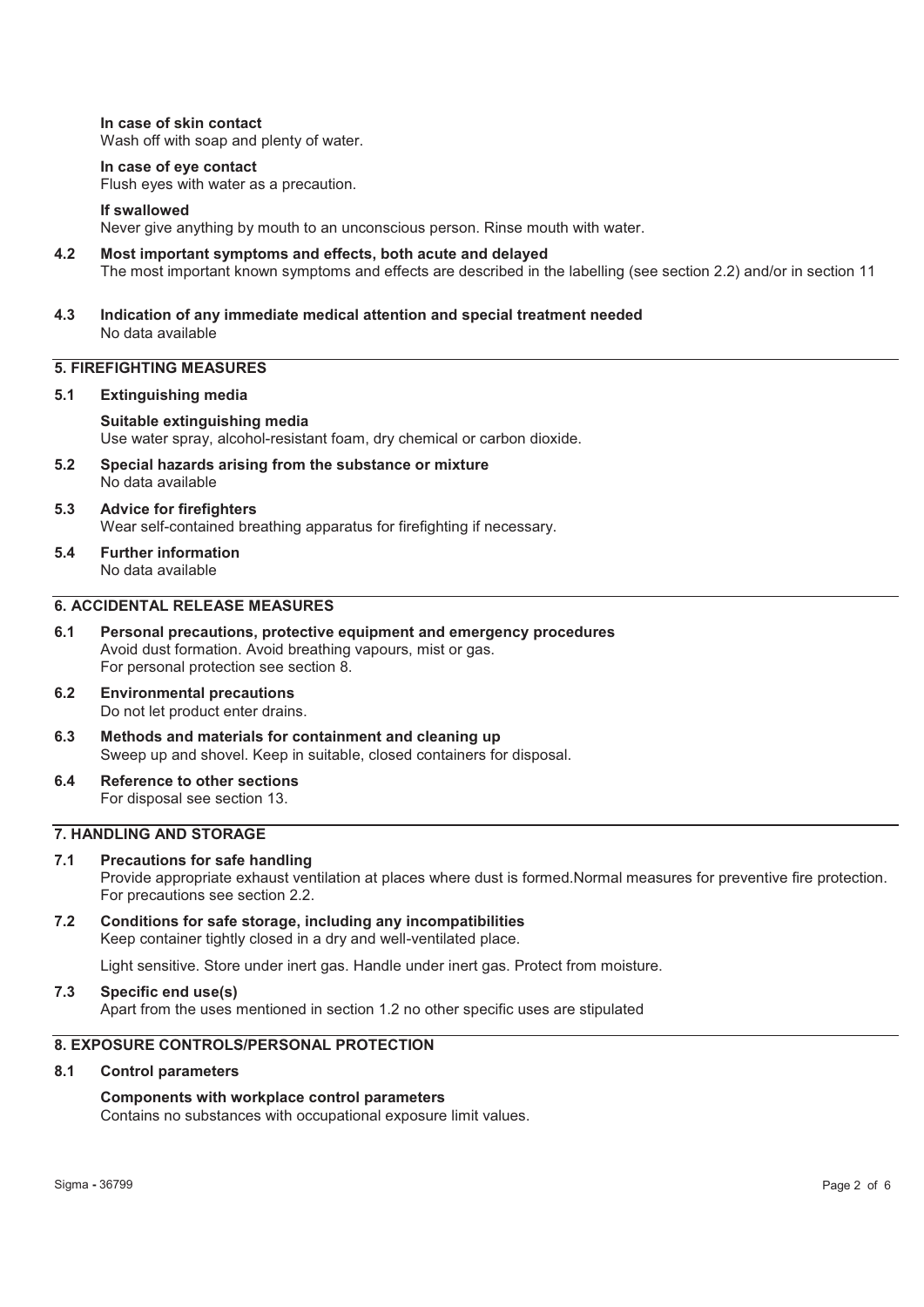**In case of skin contact**  Wash off with soap and plenty of water.

#### **In case of eye contact**

Flush eyes with water as a precaution.

#### **If swallowed**

Never give anything by mouth to an unconscious person. Rinse mouth with water.

# **4.2 Most important symptoms and effects, both acute and delayed**  The most important known symptoms and effects are described in the labelling (see section 2.2) and/or in section 11

**4.3 Indication of any immediate medical attention and special treatment needed**  No data available

# **5. FIREFIGHTING MEASURES**

**5.1 Extinguishing media** 

**Suitable extinguishing media**  Use water spray, alcohol-resistant foam, dry chemical or carbon dioxide.

- **5.2 Special hazards arising from the substance or mixture**  No data available
- **5.3 Advice for firefighters**  Wear self-contained breathing apparatus for firefighting if necessary.
- **5.4 Further information**  No data available

# **6. ACCIDENTAL RELEASE MEASURES**

- **6.1 Personal precautions, protective equipment and emergency procedures**  Avoid dust formation. Avoid breathing vapours, mist or gas. For personal protection see section 8.
- **6.2 Environmental precautions**  Do not let product enter drains.
- **6.3 Methods and materials for containment and cleaning up**  Sweep up and shovel. Keep in suitable, closed containers for disposal.
- **6.4 Reference to other sections**  For disposal see section 13.

# **7. HANDLING AND STORAGE**

#### **7.1 Precautions for safe handling**  Provide appropriate exhaust ventilation at places where dust is formed.Normal measures for preventive fire protection. For precautions see section 2.2.

**7.2 Conditions for safe storage, including any incompatibilities**  Keep container tightly closed in a dry and well-ventilated place.

Light sensitive. Store under inert gas. Handle under inert gas. Protect from moisture.

#### **7.3 Specific end use(s)**  Apart from the uses mentioned in section 1.2 no other specific uses are stipulated

# **8. EXPOSURE CONTROLS/PERSONAL PROTECTION**

# **8.1 Control parameters**

# **Components with workplace control parameters**

Contains no substances with occupational exposure limit values.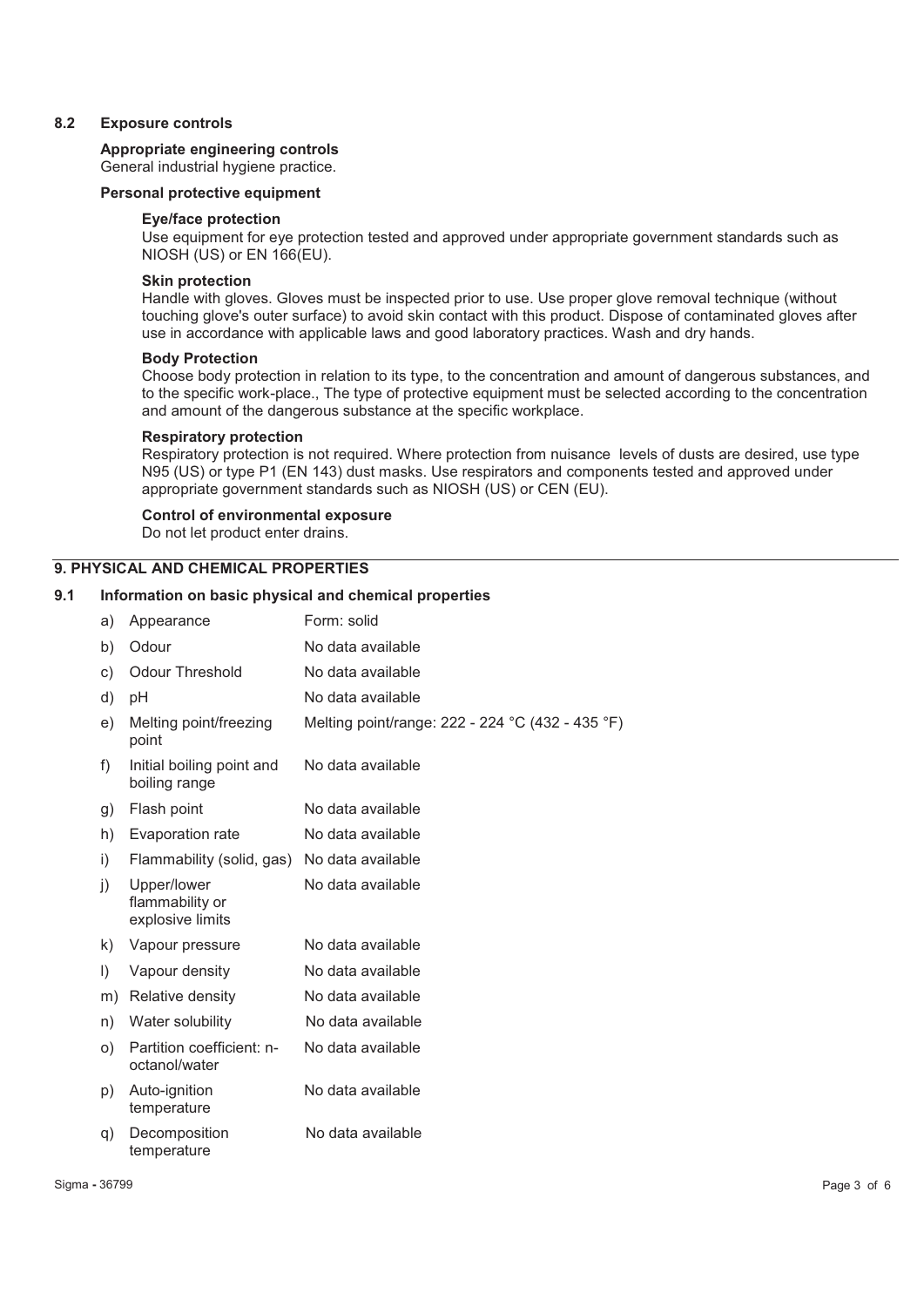#### **8.2 Exposure controls**

### **Appropriate engineering controls**

General industrial hygiene practice.

#### **Personal protective equipment**

#### **Eye/face protection**

Use equipment for eye protection tested and approved under appropriate government standards such as NIOSH (US) or EN 166(EU).

#### **Skin protection**

Handle with gloves. Gloves must be inspected prior to use. Use proper glove removal technique (without touching glove's outer surface) to avoid skin contact with this product. Dispose of contaminated gloves after use in accordance with applicable laws and good laboratory practices. Wash and dry hands.

#### **Body Protection**

Choose body protection in relation to its type, to the concentration and amount of dangerous substances, and to the specific work-place., The type of protective equipment must be selected according to the concentration and amount of the dangerous substance at the specific workplace.

#### **Respiratory protection**

Respiratory protection is not required. Where protection from nuisance levels of dusts are desired, use type N95 (US) or type P1 (EN 143) dust masks. Use respirators and components tested and approved under appropriate government standards such as NIOSH (US) or CEN (EU).

# **Control of environmental exposure**

Do not let product enter drains.

# **9. PHYSICAL AND CHEMICAL PROPERTIES**

#### **9.1 Information on basic physical and chemical properties**

| a)      | Appearance                                         | Form: solid                                      |
|---------|----------------------------------------------------|--------------------------------------------------|
| b)      | Odour                                              | No data available                                |
| c)      | Odour Threshold                                    | No data available                                |
| d)      | рH                                                 | No data available                                |
| e)      | Melting point/freezing<br>point                    | Melting point/range: 222 - 224 °C (432 - 435 °F) |
| f)      | Initial boiling point and<br>boiling range         | No data available                                |
| g)      | Flash point                                        | No data available                                |
| h)      | Evaporation rate                                   | No data available                                |
| i)      | Flammability (solid, gas) No data available        |                                                  |
| j)      | Upper/lower<br>flammability or<br>explosive limits | No data available                                |
| k)      | Vapour pressure                                    | No data available                                |
| $\vert$ | Vapour density                                     | No data available                                |
| m)      | Relative density                                   | No data available                                |
| n)      | Water solubility                                   | No data available                                |
| O)      | Partition coefficient: n-<br>octanol/water         | No data available                                |
| p)      | Auto-ignition<br>temperature                       | No data available                                |
| q)      | Decomposition<br>temperature                       | No data available                                |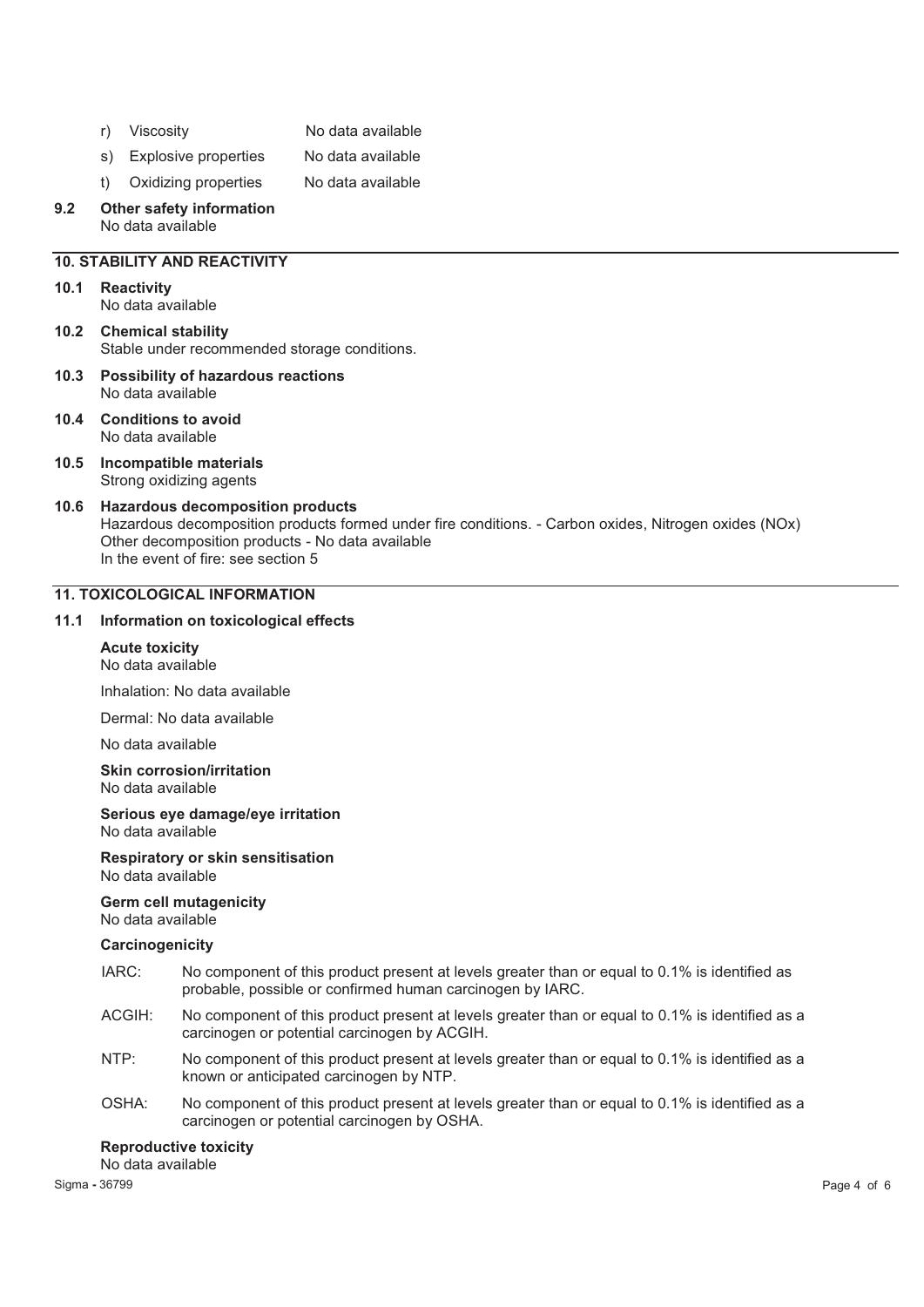- r) Viscosity No data available
- s) Explosive properties No data available
- t) Oxidizing properties No data available

#### **9.2 Other safety information**  No data available

#### **10. STABILITY AND REACTIVITY**

#### **10.1 Reactivity**

No data available

- **10.2 Chemical stability**  Stable under recommended storage conditions.
- **10.3 Possibility of hazardous reactions**  No data available
- **10.4 Conditions to avoid**  No data available
- **10.5 Incompatible materials**  Strong oxidizing agents

#### **10.6 Hazardous decomposition products**  Hazardous decomposition products formed under fire conditions. - Carbon oxides, Nitrogen oxides (NOx) Other decomposition products - No data available In the event of fire: see section 5

#### **11. TOXICOLOGICAL INFORMATION**

#### **11.1 Information on toxicological effects**

#### **Acute toxicity**  No data available

Inhalation: No data available

Dermal: No data available

No data available

# **Skin corrosion/irritation**

No data available

#### **Serious eye damage/eye irritation**  No data available

**Respiratory or skin sensitisation** 

No data available

#### **Germ cell mutagenicity**  No data available

#### **Carcinogenicity**

- IARC: No component of this product present at levels greater than or equal to 0.1% is identified as probable, possible or confirmed human carcinogen by IARC.
- ACGIH: No component of this product present at levels greater than or equal to 0.1% is identified as a carcinogen or potential carcinogen by ACGIH.
- NTP: No component of this product present at levels greater than or equal to 0.1% is identified as a known or anticipated carcinogen by NTP.
- OSHA: No component of this product present at levels greater than or equal to 0.1% is identified as a carcinogen or potential carcinogen by OSHA.

#### **Reproductive toxicity**

No data available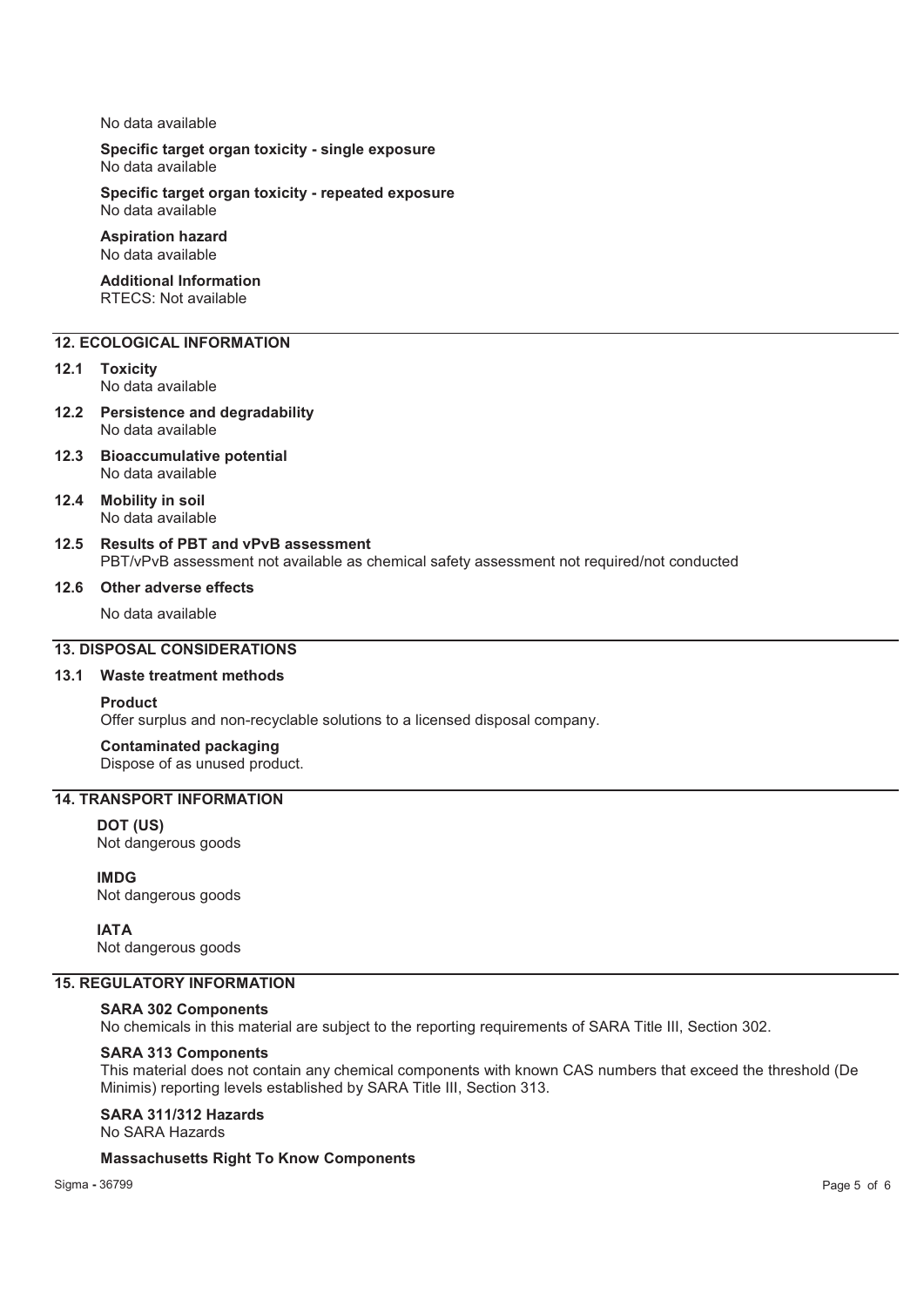#### No data available

**Specific target organ toxicity - single exposure**  No data available

**Specific target organ toxicity - repeated exposure**  No data available

# **Aspiration hazard**

No data available

#### **Additional Information**  RTECS: Not available

# **12. ECOLOGICAL INFORMATION**

#### **12.1 Toxicity**

No data available

- **12.2 Persistence and degradability**  No data available
- **12.3 Bioaccumulative potential**  No data available
- **12.4 Mobility in soil**  No data available

#### **12.5 Results of PBT and vPvB assessment**  PBT/vPvB assessment not available as chemical safety assessment not required/not conducted

#### **12.6 Other adverse effects**

No data available

#### **13. DISPOSAL CONSIDERATIONS**

# **13.1 Waste treatment methods**

# **Product**

Offer surplus and non-recyclable solutions to a licensed disposal company.

#### **Contaminated packaging** Dispose of as unused product.

**14. TRANSPORT INFORMATION** 

# **DOT (US)**

Not dangerous goods

# **IMDG**

Not dangerous goods

# **IATA**

Not dangerous goods

# **15. REGULATORY INFORMATION**

#### **SARA 302 Components**

No chemicals in this material are subject to the reporting requirements of SARA Title III, Section 302.

#### **SARA 313 Components**

This material does not contain any chemical components with known CAS numbers that exceed the threshold (De Minimis) reporting levels established by SARA Title III, Section 313.

# **SARA 311/312 Hazards**

No SARA Hazards

#### **Massachusetts Right To Know Components**

Sigma **-** 36799 Page 5 of 6